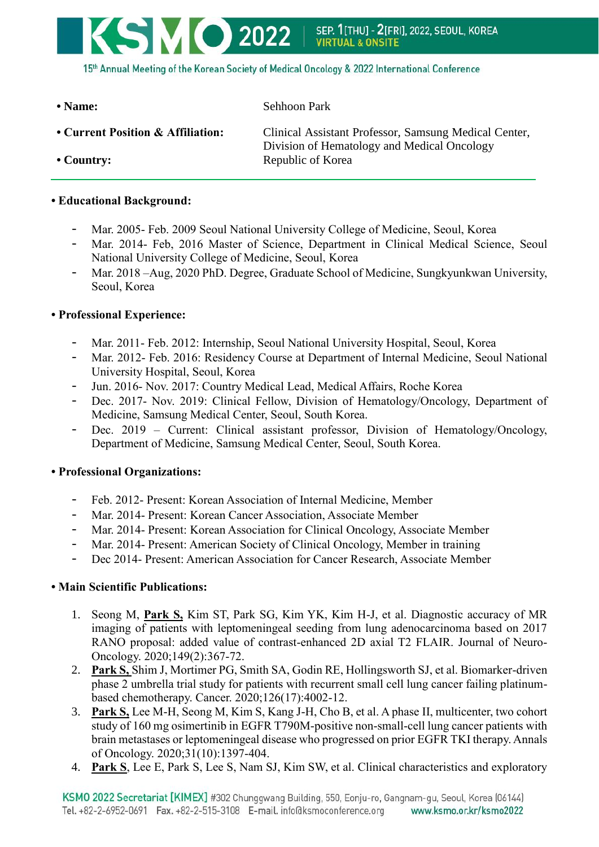15th Annual Meeting of the Korean Society of Medical Oncology & 2022 International Conference

**• Name:** Sehhoon Park

|  |  |  | • Current Position & Affiliation: |
|--|--|--|-----------------------------------|
|--|--|--|-----------------------------------|

KSMO 2022

**Clinical Assistant Professor, Samsung Medical Center,** Division of Hematology and Medical Oncology • Country: Republic of Korea

## **• Educational Background:**

- Mar. 2005- Feb. 2009 Seoul National University College of Medicine, Seoul, Korea
- Mar. 2014- Feb, 2016 Master of Science, Department in Clinical Medical Science, Seoul National University College of Medicine, Seoul, Korea
- Mar. 2018 –Aug, 2020 PhD. Degree, Graduate School of Medicine, Sungkyunkwan University, Seoul, Korea

## **• Professional Experience:**

- Mar. 2011- Feb. 2012: Internship, Seoul National University Hospital, Seoul, Korea
- Mar. 2012- Feb. 2016: Residency Course at Department of Internal Medicine, Seoul National University Hospital, Seoul, Korea
- Jun. 2016- Nov. 2017: Country Medical Lead, Medical Affairs, Roche Korea
- Dec. 2017- Nov. 2019: Clinical Fellow, Division of Hematology/Oncology, Department of Medicine, Samsung Medical Center, Seoul, South Korea.
- Dec. 2019 Current: Clinical assistant professor, Division of Hematology/Oncology, Department of Medicine, Samsung Medical Center, Seoul, South Korea.

## **• Professional Organizations:**

- Feb. 2012- Present: Korean Association of Internal Medicine, Member
- Mar. 2014- Present: Korean Cancer Association, Associate Member
- Mar. 2014- Present: Korean Association for Clinical Oncology, Associate Member
- Mar. 2014- Present: American Society of Clinical Oncology, Member in training
- Dec 2014- Present: American Association for Cancer Research, Associate Member

## **• Main Scientific Publications:**

- 1. Seong M, **Park S,** Kim ST, Park SG, Kim YK, Kim H-J, et al. Diagnostic accuracy of MR imaging of patients with leptomeningeal seeding from lung adenocarcinoma based on 2017 RANO proposal: added value of contrast-enhanced 2D axial T2 FLAIR. Journal of Neuro-Oncology. 2020;149(2):367-72.
- 2. **Park S,** Shim J, Mortimer PG, Smith SA, Godin RE, Hollingsworth SJ, et al. Biomarker‐driven phase 2 umbrella trial study for patients with recurrent small cell lung cancer failing platinum‐ based chemotherapy. Cancer. 2020;126(17):4002-12.
- 3. **Park S,** Lee M-H, Seong M, Kim S, Kang J-H, Cho B, et al. A phase II, multicenter, two cohort study of 160 mg osimertinib in EGFR T790M-positive non-small-cell lung cancer patients with brain metastases or leptomeningeal disease who progressed on prior EGFR TKI therapy. Annals of Oncology. 2020;31(10):1397-404.
- 4. **Park S**, Lee E, Park S, Lee S, Nam SJ, Kim SW, et al. Clinical characteristics and exploratory